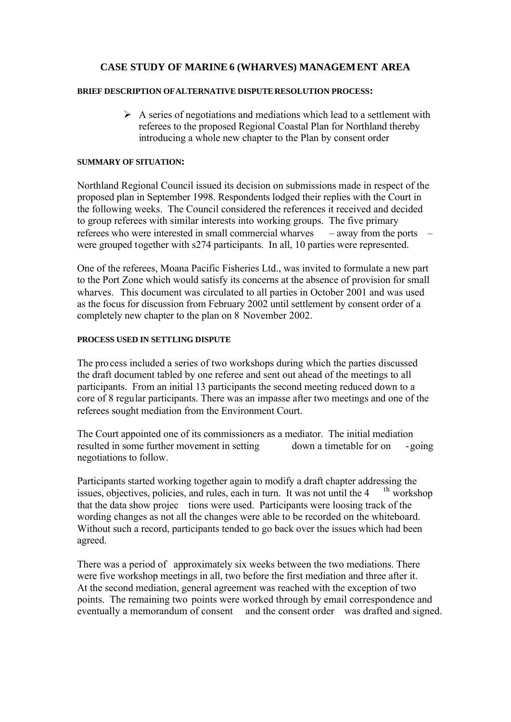# **CASE STUDY OF MARINE 6 (WHARVES) MANAGEMENT AREA**

#### **BRIEF DESCRIPTION OF ALTERNATIVE DISPUTE RESOLUTION PROCESS:**

 $\triangleright$  A series of negotiations and mediations which lead to a settlement with referees to the proposed Regional Coastal Plan for Northland thereby introducing a whole new chapter to the Plan by consent order

#### **SUMMARY OF SITUATION:**

Northland Regional Council issued its decision on submissions made in respect of the proposed plan in September 1998. Respondents lodged their replies with the Court in the following weeks. The Council considered the references it received and decided to group referees with similar interests into working groups. The five primary referees who were interested in small commercial wharves – away from the ports – were grouped together with s274 participants. In all, 10 parties were represented.

One of the referees, Moana Pacific Fisheries Ltd., was invited to formulate a new part to the Port Zone which would satisfy its concerns at the absence of provision for small wharves. This document was circulated to all parties in October 2001 and was used as the focus for discussion from February 2002 until settlement by consent order of a completely new chapter to the plan on 8 November 2002.

## **PROCESS USED IN SETTLING DISPUTE**

The process included a series of two workshops during which the parties discussed the draft document tabled by one referee and sent out ahead of the meetings to all participants. From an initial 13 participants the second meeting reduced down to a core of 8 regular participants. There was an impasse after two meetings and one of the referees sought mediation from the Environment Court.

The Court appointed one of its commissioners as a mediator. The initial mediation resulted in some further movement in setting down a timetable for on -going negotiations to follow.

Participants started working together again to modify a draft chapter addressing the issues objectives policies, and rules, each in turn. It was not until the 4<sup>th</sup> workshop issues, objectives, policies, and rules, each in turn. It was not until the 4 that the data show projec tions were used. Participants were loosing track of the wording changes as not all the changes were able to be recorded on the whiteboard. Without such a record, participants tended to go back over the issues which had been agreed.

There was a period of approximately six weeks between the two mediations. There were five workshop meetings in all, two before the first mediation and three after it. At the second mediation, general agreement was reached with the exception of two points. The remaining two points were worked through by email correspondence and eventually a memorandum of consent and the consent order was drafted and signed.